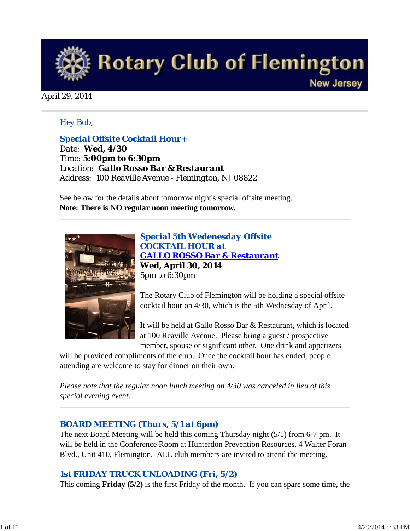

## April 29, 2014

## *Hey Bob,*

*Special Offsite Cocktail Hour+ Date: Wed, 4/30 Time: 5:00pm to 6:30pm Location: Gallo Rosso Bar & Restaurant Address: 100 Reaville Avenue - Flemington, NJ 08822* 

See below for the details about tomorrow night's special offsite meeting. **Note: There is NO regular noon meeting tomorrow.**



*Special 5th Wedenesday Offsite COCKTAIL HOUR at GALLO ROSSO Bar & Restaurant* **Wed, April 30, 2014** 5pm to 6:30pm

The Rotary Club of Flemington will be holding a special offsite cocktail hour on 4/30, which is the 5th Wednesday of April.

It will be held at Gallo Rosso Bar & Restaurant, which is located at 100 Reaville Avenue. Please bring a guest / prospective member, spouse or significant other. One drink and appetizers

will be provided compliments of the club. Once the cocktail hour has ended, people attending are welcome to stay for dinner on their own.

*Please note that the regular noon lunch meeting on 4/30 was canceled in lieu of this special evening event*.

#### *BOARD MEETING (Thurs, 5/1 at 6pm)*

The next Board Meeting will be held this coming Thursday night (5/1) from 6-7 pm. It will be held in the Conference Room at Hunterdon Prevention Resources, 4 Walter Foran Blvd., Unit 410, Flemington. ALL club members are invited to attend the meeting.

# *1st FRIDAY TRUCK UNLOADING (Fri, 5/2)*

This coming **Friday (5/2)** is the first Friday of the month. If you can spare some time, the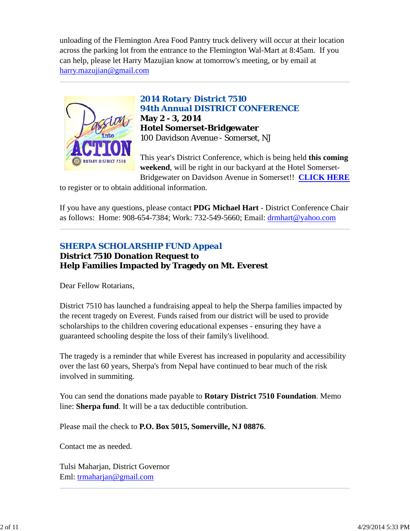unloading of the Flemington Area Food Pantry truck delivery will occur at their location across the parking lot from the entrance to the Flemington Wal-Mart at 8:45am. If you can help, please let Harry Mazujian know at tomorrow's meeting, or by email at harry.mazujian@gmail.com



*2014 Rotary District 7510 94th Annual DISTRICT CONFERENCE* **May 2 - 3, 2014 Hotel Somerset-Bridgewater** 100 Davidson Avenue - Somerset, NJ

This year's District Conference, which is being held **this coming weekend**, will be right in our backyard at the Hotel Somerset-Bridgewater on Davidson Avenue in Somerset!! **CLICK HERE**

to register or to obtain additional information.

If you have any questions, please contact **PDG Michael Hart** - District Conference Chair as follows: Home: 908-654-7384; Work: 732-549-5660; Email: drmhart@yahoo.com

# *SHERPA SCHOLARSHIP FUND Appeal*

**District 7510 Donation Request to Help Families Impacted by Tragedy on Mt. Everest**

Dear Fellow Rotarians,

District 7510 has launched a fundraising appeal to help the Sherpa families impacted by the recent tragedy on Everest. Funds raised from our district will be used to provide scholarships to the children covering educational expenses - ensuring they have a guaranteed schooling despite the loss of their family's livelihood.

The tragedy is a reminder that while Everest has increased in popularity and accessibility over the last 60 years, Sherpa's from Nepal have continued to bear much of the risk involved in summiting.

You can send the donations made payable to **Rotary District 7510 Foundation**. Memo line: **Sherpa fund**. It will be a tax deductible contribution.

Please mail the check to **P.O. Box 5015, Somerville, NJ 08876**.

Contact me as needed.

Tulsi Maharjan, District Governor Eml: trmaharjan@gmail.com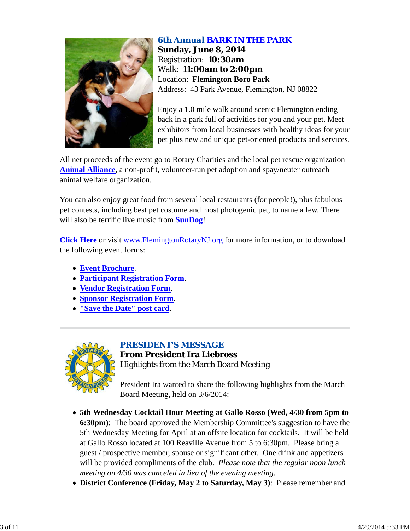

# *6th Annual BARK IN THE PARK* **Sunday, June 8, 2014** Registration: **10:30am** Walk: **11:00am to 2:00pm** Location: **Flemington Boro Park** Address: 43 Park Avenue, Flemington, NJ 08822

Enjoy a 1.0 mile walk around scenic Flemington ending back in a park full of activities for you and your pet. Meet exhibitors from local businesses with healthy ideas for your pet plus new and unique pet-oriented products and services.

All net proceeds of the event go to Rotary Charities and the local pet rescue organization **Animal Alliance**, a non-profit, volunteer-run pet adoption and spay/neuter outreach animal welfare organization.

You can also enjoy great food from several local restaurants (for people!), plus fabulous pet contests, including best pet costume and most photogenic pet, to name a few. There will also be terrific live music from **SunDog**!

**Click Here** or visit www.FlemingtonRotaryNJ.org for more information, or to download the following event forms:

- **Event Brochure**.
- **Participant Registration Form**.
- **Vendor Registration Form**.
- **Sponsor Registration Form**.
- **"Save the Date" post card**.



# *PRESIDENT'S MESSAGE* **From President Ira Liebross** Highlights from the March Board Meeting

President Ira wanted to share the following highlights from the March Board Meeting, held on 3/6/2014:

- **5th Wednesday Cocktail Hour Meeting at Gallo Rosso (Wed, 4/30 from 5pm to 6:30pm)**: The board approved the Membership Committee's suggestion to have the 5th Wednesday Meeting for April at an offsite location for cocktails. It will be held at Gallo Rosso located at 100 Reaville Avenue from 5 to 6:30pm. Please bring a guest / prospective member, spouse or significant other. One drink and appetizers will be provided compliments of the club. *Please note that the regular noon lunch meeting on 4/30 was canceled in lieu of the evening meeting*.
- **District Conference (Friday, May 2 to Saturday, May 3)**: Please remember and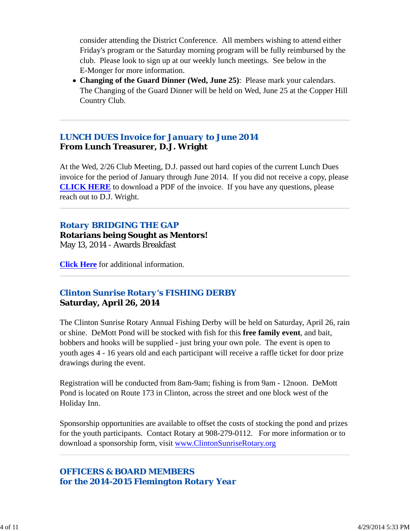consider attending the District Conference. All members wishing to attend either Friday's program or the Saturday morning program will be fully reimbursed by the club. Please look to sign up at our weekly lunch meetings. See below in the E-Monger for more information.

**Changing of the Guard Dinner (Wed, June 25)**: Please mark your calendars. The Changing of the Guard Dinner will be held on Wed, June 25 at the Copper Hill Country Club.

# *LUNCH DUES Invoice for January to June 2014* **From Lunch Treasurer, D.J. Wright**

At the Wed, 2/26 Club Meeting, D.J. passed out hard copies of the current Lunch Dues invoice for the period of January through June 2014. If you did not receive a copy, please **CLICK HERE** to download a PDF of the invoice. If you have any questions, please reach out to D.J. Wright.

# *Rotary BRIDGING THE GAP*

### **Rotarians being Sought as Mentors!** May 13, 2014 - Awards Breakfast

**Click Here** for additional information.

# *Clinton Sunrise Rotary's FISHING DERBY* **Saturday, April 26, 2014**

The Clinton Sunrise Rotary Annual Fishing Derby will be held on Saturday, April 26, rain or shine. DeMott Pond will be stocked with fish for this **free family event**, and bait, bobbers and hooks will be supplied - just bring your own pole. The event is open to youth ages 4 - 16 years old and each participant will receive a raffle ticket for door prize drawings during the event.

Registration will be conducted from 8am-9am; fishing is from 9am - 12noon. DeMott Pond is located on Route 173 in Clinton, across the street and one block west of the Holiday Inn.

Sponsorship opportunities are available to offset the costs of stocking the pond and prizes for the youth participants. Contact Rotary at 908-279-0112. For more information or to download a sponsorship form, visit www.ClintonSunriseRotary.org

# *OFFICERS & BOARD MEMBERS for the 2014-2015 Flemington Rotary Year*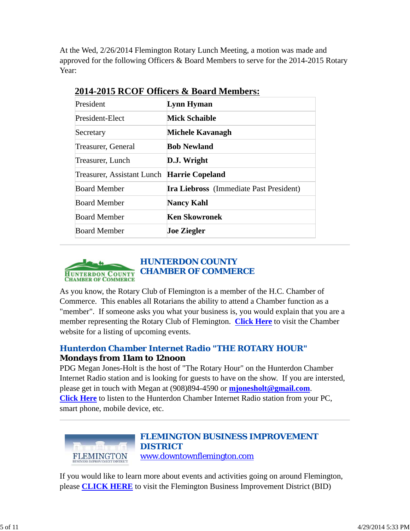At the Wed, 2/26/2014 Flemington Rotary Lunch Meeting, a motion was made and approved for the following Officers & Board Members to serve for the 2014-2015 Rotary Year:

| President                                  | Lynn Hyman                                     |  |
|--------------------------------------------|------------------------------------------------|--|
| President-Elect                            | <b>Mick Schaible</b>                           |  |
| Secretary                                  | Michele Kavanagh                               |  |
| Treasurer, General                         | <b>Bob Newland</b>                             |  |
| Treasurer, Lunch                           | D.J. Wright                                    |  |
| Treasurer, Assistant Lunch Harrie Copeland |                                                |  |
| <b>Board Member</b>                        | <b>Ira Liebross</b> (Immediate Past President) |  |
| <b>Board Member</b>                        | <b>Nancy Kahl</b>                              |  |
| <b>Board Member</b>                        | Ken Skowronek                                  |  |
| <b>Board Member</b>                        | <b>Joe Ziegler</b>                             |  |

# **2014-2015 RCOF Officers & Board Members:**



As you know, the Rotary Club of Flemington is a member of the H.C. Chamber of Commerce. This enables all Rotarians the ability to attend a Chamber function as a "member". If someone asks you what your business is, you would explain that you are a member representing the Rotary Club of Flemington. **Click Here** to visit the Chamber website for a listing of upcoming events.

# *Hunterdon Chamber Internet Radio "THE ROTARY HOUR"* **Mondays from 11am to 12noon**

PDG Megan Jones-Holt is the host of "The Rotary Hour" on the Hunterdon Chamber Internet Radio station and is looking for guests to have on the show. If you are intersted, please get in touch with Megan at (908)894-4590 or **mjonesholt@gmail.com**. **Click Here** to listen to the Hunterdon Chamber Internet Radio station from your PC, smart phone, mobile device, etc.



# *FLEMINGTON BUSINESS IMPROVEMENT DISTRICT* www.downtownflemington.com

If you would like to learn more about events and activities going on around Flemington, please **CLICK HERE** to visit the Flemington Business Improvement District (BID)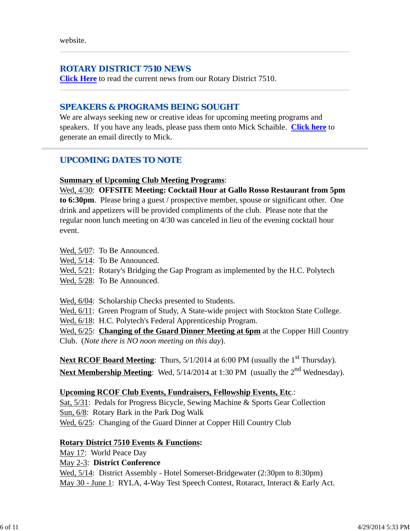# *ROTARY DISTRICT 7510 NEWS*

**Click Here** to read the current news from our Rotary District 7510.

# *SPEAKERS & PROGRAMS BEING SOUGHT*

We are always seeking new or creative ideas for upcoming meeting programs and speakers. If you have any leads, please pass them onto Mick Schaible. **Click here** to generate an email directly to Mick.

# *UPCOMING DATES TO NOTE*

## **Summary of Upcoming Club Meeting Programs**:

Wed, 4/30: **OFFSITE Meeting: Cocktail Hour at Gallo Rosso Restaurant from 5pm to 6:30pm**. Please bring a guest / prospective member, spouse or significant other. One drink and appetizers will be provided compliments of the club. Please note that the regular noon lunch meeting on 4/30 was canceled in lieu of the evening cocktail hour event.

- Wed, 5/07: To Be Announced.
- Wed, 5/14: To Be Announced.
- Wed,  $5/21$ : Rotary's Bridging the Gap Program as implemented by the H.C. Polytech
- Wed, 5/28: To Be Announced.

Wed,  $6/04$ : Scholarship Checks presented to Students.

Wed,  $6/11$ : Green Program of Study, A State-wide project with Stockton State College.

Wed, 6/18: H.C. Polytech's Federal Apprenticeship Program.

Wed, 6/25: **Changing of the Guard Dinner Meeting at 6pm** at the Copper Hill Country Club. (*Note there is NO noon meeting on this day*).

**Next RCOF Board Meeting**: Thurs, 5/1/2014 at 6:00 PM (usually the 1<sup>st</sup> Thursday). Next Membership Meeting: Wed, 5/14/2014 at 1:30 PM (usually the 2<sup>nd</sup> Wednesday).

# **Upcoming RCOF Club Events, Fundraisers, Fellowship Events, Etc**.:

Sat, 5/31: Pedals for Progress Bicycle, Sewing Machine & Sports Gear Collection Sun, 6/8: Rotary Bark in the Park Dog Walk Wed,  $6/25$ : Changing of the Guard Dinner at Copper Hill Country Club

# **Rotary District 7510 Events & Functions:**

May 17: World Peace Day

May 2-3: **District Conference**

Wed, 5/14: District Assembly - Hotel Somerset-Bridgewater (2:30pm to 8:30pm) May 30 - June 1: RYLA, 4-Way Test Speech Contest, Rotaract, Interact & Early Act.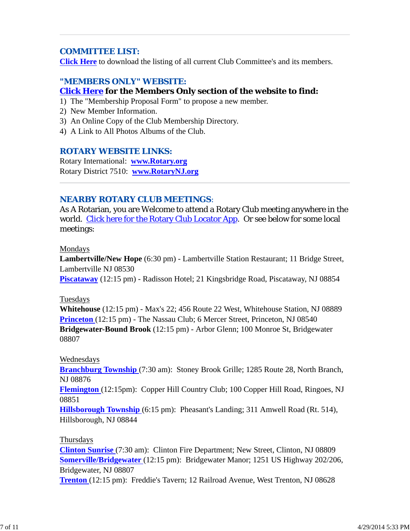# *COMMITTEE LIST:*

**Click Here** to download the listing of all current Club Committee's and its members.

# *"MEMBERS ONLY" WEBSITE:* **Click Here for the Members Only section of the website to find:**

- 1) The "Membership Proposal Form" to propose a new member.
- 2) New Member Information.
- 3) An Online Copy of the Club Membership Directory.
- 4) A Link to All Photos Albums of the Club.

#### *ROTARY WEBSITE LINKS:*

Rotary International: **www.Rotary.org** Rotary District 7510: **www.RotaryNJ.org**

### *NEARBY ROTARY CLUB MEETINGS:*

As A Rotarian, you are Welcome to attend a Rotary Club meeting anywhere in the world. Click here for the Rotary Club Locator App. Or see below for some local meetings:

#### Mondays

**Lambertville/New Hope** (6:30 pm) - Lambertville Station Restaurant; 11 Bridge Street, Lambertville NJ 08530

**Piscataway** (12:15 pm) - Radisson Hotel; 21 Kingsbridge Road, Piscataway, NJ 08854

#### Tuesdays

**Whitehouse** (12:15 pm) - Max's 22; 456 Route 22 West, Whitehouse Station, NJ 08889 **Princeton** (12:15 pm) - The Nassau Club; 6 Mercer Street, Princeton, NJ 08540 **Bridgewater-Bound Brook** (12:15 pm) - Arbor Glenn; 100 Monroe St, Bridgewater 08807

#### Wednesdays

**Branchburg Township** (7:30 am): Stoney Brook Grille; 1285 Route 28, North Branch, NJ 08876

**Flemington** (12:15pm): Copper Hill Country Club; 100 Copper Hill Road, Ringoes, NJ 08851

**Hillsborough Township** (6:15 pm): Pheasant's Landing; 311 Amwell Road (Rt. 514), Hillsborough, NJ 08844

#### Thursdays

**Clinton Sunrise** (7:30 am): Clinton Fire Department; New Street, Clinton, NJ 08809 **Somerville/Bridgewater** (12:15 pm): Bridgewater Manor; 1251 US Highway 202/206, Bridgewater, NJ 08807

**Trenton** (12:15 pm): Freddie's Tavern; 12 Railroad Avenue, West Trenton, NJ 08628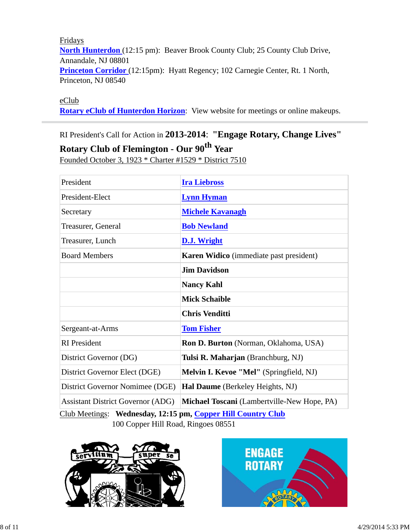Fridays **North Hunterdon** (12:15 pm): Beaver Brook County Club; 25 County Club Drive, Annandale, NJ 08801 **Princeton Corridor** (12:15pm): Hyatt Regency; 102 Carnegie Center, Rt. 1 North, Princeton, NJ 08540

eClub

**Rotary eClub of Hunterdon Horizon**: View website for meetings or online makeups.

# RI President's Call for Action in **2013-2014**: **"Engage Rotary, Change Lives"**

**Rotary Club of Flemington - Our 90th Year**

Founded October 3, 1923 \* Charter #1529 \* District 7510

| President                                                    | <b>Ira Liebross</b>                            |  |  |  |
|--------------------------------------------------------------|------------------------------------------------|--|--|--|
| President-Elect                                              | <b>Lynn Hyman</b>                              |  |  |  |
| Secretary                                                    | <b>Michele Kavanagh</b>                        |  |  |  |
| Treasurer, General                                           | <b>Bob Newland</b>                             |  |  |  |
| Treasurer, Lunch                                             | D.J. Wright                                    |  |  |  |
| <b>Board Members</b>                                         | <b>Karen Widico</b> (immediate past president) |  |  |  |
|                                                              | <b>Jim Davidson</b>                            |  |  |  |
|                                                              | <b>Nancy Kahl</b>                              |  |  |  |
|                                                              | <b>Mick Schaible</b>                           |  |  |  |
|                                                              | <b>Chris Venditti</b>                          |  |  |  |
| Sergeant-at-Arms                                             | <b>Tom Fisher</b>                              |  |  |  |
| <b>RI</b> President                                          | Ron D. Burton (Norman, Oklahoma, USA)          |  |  |  |
| District Governor (DG)                                       | Tulsi R. Maharjan (Branchburg, NJ)             |  |  |  |
| District Governor Elect (DGE)                                | Melvin I. Kevoe "Mel" (Springfield, NJ)        |  |  |  |
| District Governor Nomimee (DGE)                              | Hal Daume (Berkeley Heights, NJ)               |  |  |  |
| <b>Assistant District Governor (ADG)</b>                     | Michael Toscani (Lambertville-New Hope, PA)    |  |  |  |
| Club Meetings: Wednesday, 12:15 pm, Copper Hill Country Club |                                                |  |  |  |

100 Copper Hill Road, Ringoes 08551



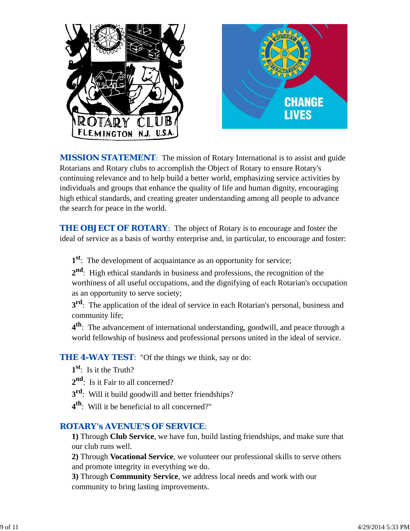

**MISSION STATEMENT:** The mission of Rotary International is to assist and guide Rotarians and Rotary clubs to accomplish the Object of Rotary to ensure Rotary's continuing relevance and to help build a better world, emphasizing service activities by individuals and groups that enhance the quality of life and human dignity, encouraging high ethical standards, and creating greater understanding among all people to advance the search for peace in the world.

**THE OBJECT OF ROTARY:** The object of Rotary is to encourage and foster the ideal of service as a basis of worthy enterprise and, in particular, to encourage and foster:

**1st**: The development of acquaintance as an opportunity for service;

**2nd**: High ethical standards in business and professions, the recognition of the worthiness of all useful occupations, and the dignifying of each Rotarian's occupation as an opportunity to serve society;

**3<sup>rd</sup>**: The application of the ideal of service in each Rotarian's personal, business and community life;

**4th**: The advancement of international understanding, goodwill, and peace through a world fellowship of business and professional persons united in the ideal of service.

**THE 4-WAY TEST:** "Of the things we think, say or do:

- **1st**: Is it the Truth?
- 2<sup>nd</sup>: Is it Fair to all concerned?
- **3rd**: Will it build goodwill and better friendships?
- **4th**: Will it be beneficial to all concerned?"

# *ROTARY's AVENUE'S OF SERVICE*:

**1)** Through **Club Service**, we have fun, build lasting friendships, and make sure that our club runs well.

**2)** Through **Vocational Service**, we volunteer our professional skills to serve others and promote integrity in everything we do.

**3)** Through **Community Service**, we address local needs and work with our community to bring lasting improvements.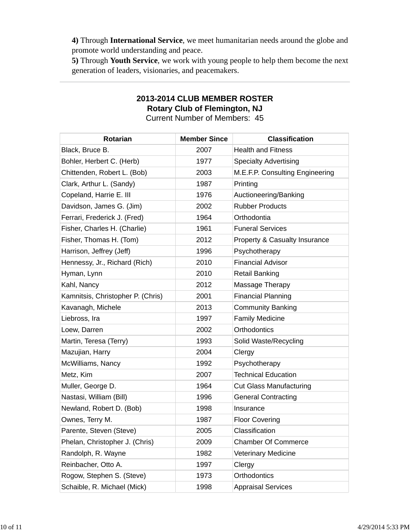**4)** Through **International Service**, we meet humanitarian needs around the globe and promote world understanding and peace.

**5)** Through **Youth Service**, we work with young people to help them become the next generation of leaders, visionaries, and peacemakers.

# **2013-2014 CLUB MEMBER ROSTER Rotary Club of Flemington, NJ**

Current Number of Members: 45

| <b>Rotarian</b>                   | <b>Member Since</b> | <b>Classification</b>           |
|-----------------------------------|---------------------|---------------------------------|
| Black, Bruce B.                   | 2007                | <b>Health and Fitness</b>       |
| Bohler, Herbert C. (Herb)         | 1977                | <b>Specialty Advertising</b>    |
| Chittenden, Robert L. (Bob)       | 2003                | M.E.F.P. Consulting Engineering |
| Clark, Arthur L. (Sandy)          | 1987                | Printing                        |
| Copeland, Harrie E. III           | 1976                | Auctioneering/Banking           |
| Davidson, James G. (Jim)          | 2002                | <b>Rubber Products</b>          |
| Ferrari, Frederick J. (Fred)      | 1964                | Orthodontia                     |
| Fisher, Charles H. (Charlie)      | 1961                | <b>Funeral Services</b>         |
| Fisher, Thomas H. (Tom)           | 2012                | Property & Casualty Insurance   |
| Harrison, Jeffrey (Jeff)          | 1996                | Psychotherapy                   |
| Hennessy, Jr., Richard (Rich)     | 2010                | <b>Financial Advisor</b>        |
| Hyman, Lynn                       | 2010                | <b>Retail Banking</b>           |
| Kahl, Nancy                       | 2012                | Massage Therapy                 |
| Kamnitsis, Christopher P. (Chris) | 2001                | <b>Financial Planning</b>       |
| Kavanagh, Michele                 | 2013                | <b>Community Banking</b>        |
| Liebross, Ira                     | 1997                | <b>Family Medicine</b>          |
| Loew, Darren                      | 2002                | Orthodontics                    |
| Martin, Teresa (Terry)            | 1993                | Solid Waste/Recycling           |
| Mazujian, Harry                   | 2004                | Clergy                          |
| McWilliams, Nancy                 | 1992                | Psychotherapy                   |
| Metz, Kim                         | 2007                | <b>Technical Education</b>      |
| Muller, George D.                 | 1964                | <b>Cut Glass Manufacturing</b>  |
| Nastasi, William (Bill)           | 1996                | <b>General Contracting</b>      |
| Newland, Robert D. (Bob)          | 1998                | Insurance                       |
| Ownes, Terry M.                   | 1987                | <b>Floor Covering</b>           |
| Parente, Steven (Steve)           | 2005                | Classification                  |
| Phelan, Christopher J. (Chris)    | 2009                | <b>Chamber Of Commerce</b>      |
| Randolph, R. Wayne                | 1982                | <b>Veterinary Medicine</b>      |
| Reinbacher, Otto A.               | 1997                | Clergy                          |
| Rogow, Stephen S. (Steve)         | 1973                | Orthodontics                    |
| Schaible, R. Michael (Mick)       | 1998                | <b>Appraisal Services</b>       |